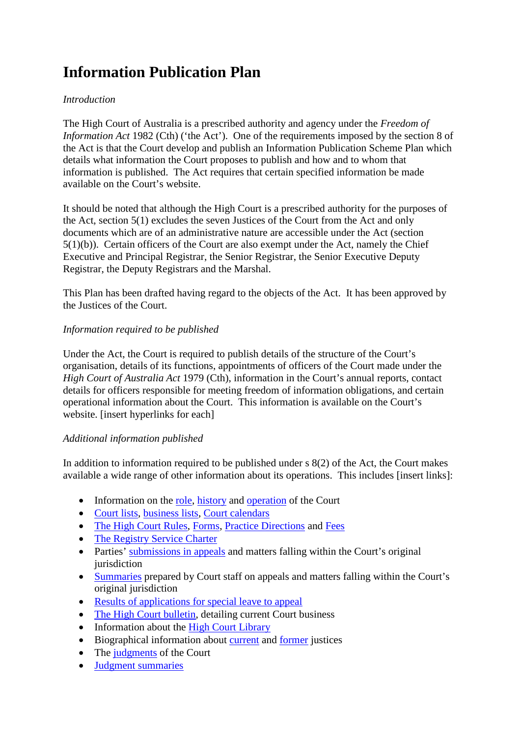# **Information Publication Plan**

### *Introduction*

The High Court of Australia is a prescribed authority and agency under the *Freedom of Information Act* 1982 (Cth) ('the Act'). One of the requirements imposed by the section 8 of the Act is that the Court develop and publish an Information Publication Scheme Plan which details what information the Court proposes to publish and how and to whom that information is published. The Act requires that certain specified information be made available on the Court's website.

It should be noted that although the High Court is a prescribed authority for the purposes of the Act, section 5(1) excludes the seven Justices of the Court from the Act and only documents which are of an administrative nature are accessible under the Act (section 5(1)(b)). Certain officers of the Court are also exempt under the Act, namely the Chief Executive and Principal Registrar, the Senior Registrar, the Senior Executive Deputy Registrar, the Deputy Registrars and the Marshal.

This Plan has been drafted having regard to the objects of the Act. It has been approved by the Justices of the Court.

## *Information required to be published*

Under the Act, the Court is required to publish details of the structure of the Court's organisation, details of its functions, appointments of officers of the Court made under the *High Court of Australia Act* 1979 (Cth), information in the Court's annual reports, contact details for officers responsible for meeting freedom of information obligations, and certain operational information about the Court. This information is available on the Court's website. [insert hyperlinks for each]

### *Additional information published*

In addition to information required to be published under s 8(2) of the Act, the Court makes available a wide range of other information about its operations. This includes [insert links]:

- Information on the <u>role, [history](http://www.hcourt.gov.au/about/history)</u> and [operation](http://www.hcourt.gov.au/about/operation) of the Court
- [Court lists,](http://www.hcourt.gov.au/registry/court-lists) [business lists,](http://www.hcourt.gov.au/registry/list-of-business-for-sittings) [Court calendars](http://www.hcourt.gov.au/registry/court-calendars)
- [The High Court Rules,](http://www.comlaw.gov.au/Details/F2012C00394) [Forms,](http://www.hcourt.gov.au/registry/filing-documents/forms) [Practice Directions](http://www.hcourt.gov.au/registry/filing-documents/practice-directions) and [Fees](http://www.hcourt.gov.au/registry/filing-documents/high-court-of-australia-fees)
- [The Registry Service Charter](http://www.hcourt.gov.au/registry/registry-charter/registry-charter)
- Parties' [submissions in appeals](http://www.hcourt.gov.au/cases/current-cases-submissions) and matters falling within the Court's original jurisdiction
- [Summaries](http://www.hcourt.gov.au/registry/case-summaries-2013) prepared by Court staff on appeals and matters falling within the Court's original jurisdiction
- [Results of applications for special leave to appeal](http://www.hcourt.gov.au/registry/special-leave-applications-results-2013)
- [The High Court bulletin,](http://www.hcourt.gov.au/library/high-court-bulletin) detailing current Court business
- Information about the [High Court Library](http://www.hcourt.gov.au/library/about-the-library)
- Biographical information about [current](http://www.hcourt.gov.au/justices/about-the-justices) and [former](http://www.hcourt.gov.au/justices/former-justices) justices
- The [judgments](http://www.hcourt.gov.au/publications/judgments/judgments-and-pronouncements) of the Court
- [Judgment summaries](http://www.hcourt.gov.au/publications/judgment-summaries/2013-judgment-summaries)